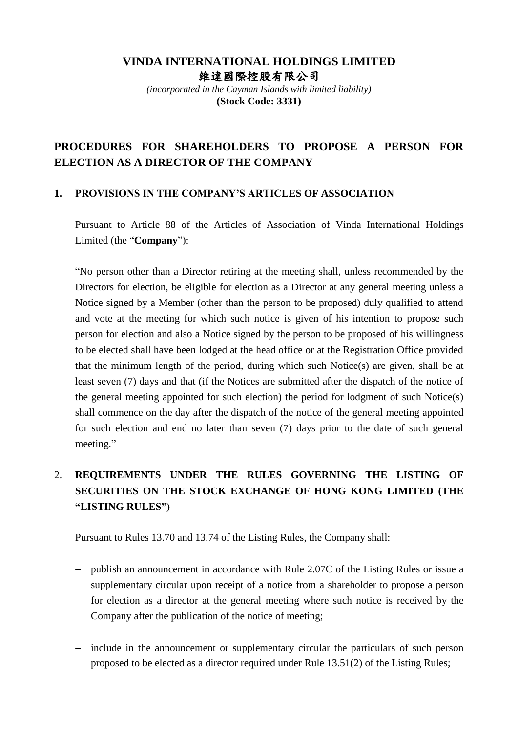### **VINDA INTERNATIONAL HOLDINGS LIMITED** 維達國際控股有限公司

*(incorporated in the Cayman Islands with limited liability)* **(Stock Code: 3331)**

## **PROCEDURES FOR SHAREHOLDERS TO PROPOSE A PERSON FOR ELECTION AS A DIRECTOR OF THE COMPANY**

#### **1. PROVISIONS IN THE COMPANY'S ARTICLES OF ASSOCIATION**

Pursuant to Article 88 of the Articles of Association of Vinda International Holdings Limited (the "**Company**"):

"No person other than a Director retiring at the meeting shall, unless recommended by the Directors for election, be eligible for election as a Director at any general meeting unless a Notice signed by a Member (other than the person to be proposed) duly qualified to attend and vote at the meeting for which such notice is given of his intention to propose such person for election and also a Notice signed by the person to be proposed of his willingness to be elected shall have been lodged at the head office or at the Registration Office provided that the minimum length of the period, during which such Notice(s) are given, shall be at least seven (7) days and that (if the Notices are submitted after the dispatch of the notice of the general meeting appointed for such election) the period for lodgment of such Notice(s) shall commence on the day after the dispatch of the notice of the general meeting appointed for such election and end no later than seven (7) days prior to the date of such general meeting."

# 2. **REQUIREMENTS UNDER THE RULES GOVERNING THE LISTING OF SECURITIES ON THE STOCK EXCHANGE OF HONG KONG LIMITED (THE "LISTING RULES")**

Pursuant to Rules 13.70 and 13.74 of the Listing Rules, the Company shall:

- publish an announcement in accordance with Rule 2.07C of the Listing Rules or issue a supplementary circular upon receipt of a notice from a shareholder to propose a person for election as a director at the general meeting where such notice is received by the Company after the publication of the notice of meeting;
- include in the announcement or supplementary circular the particulars of such person proposed to be elected as a director required under Rule 13.51(2) of the Listing Rules;